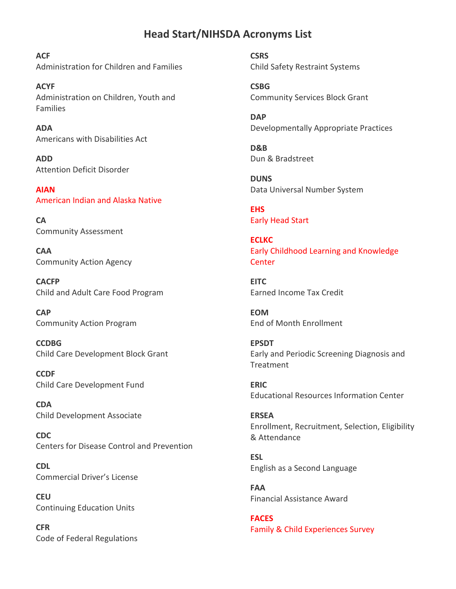## **Head Start/NIHSDA Acronyms List**

**ACF** Administration for Children and Families

**ACYF** Administration on Children, Youth and Families

**ADA** Americans with Disabilities Act

**ADD**  Attention Deficit Disorder

**AIAN** American Indian and Alaska Native

**CA** Community Assessment

**CAA**  Community Action Agency

**CACFP** Child and Adult Care Food Program

**CAP**  Community Action Program

**CCDBG**  Child Care Development Block Grant

**CCDF** Child Care Development Fund

**CDA** Child Development Associate

**CDC**  Centers for Disease Control and Prevention

**CDL**  Commercial Driver's License

**CEU**  Continuing Education Units

**CFR** Code of Federal Regulations **CSRS** Child Safety Restraint Systems

**CSBG** Community Services Block Grant

**DAP**  Developmentally Appropriate Practices

**D&B** Dun & Bradstreet

**DUNS** Data Universal Number System

**EHS** Early Head Start

**ECLKC** Early Childhood Learning and Knowledge **Center** 

**EITC** Earned Income Tax Credit

**EOM** End of Month Enrollment

**EPSDT**  Early and Periodic Screening Diagnosis and Treatment

**ERIC**  Educational Resources Information Center

**ERSEA**  Enrollment, Recruitment, Selection, Eligibility & Attendance

**ESL**  English as a Second Language

**FAA**  Financial Assistance Award

**FACES** Family & Child Experiences Survey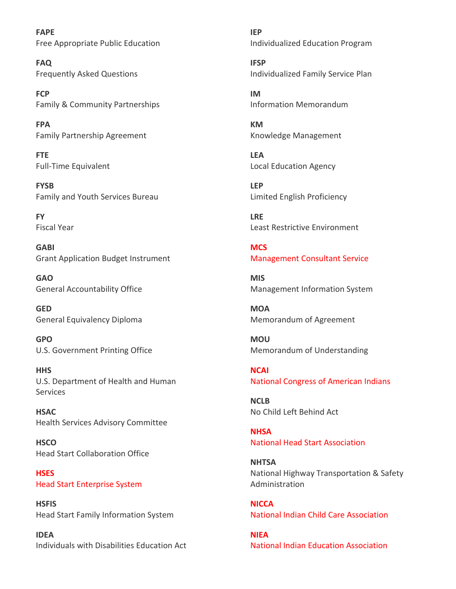**FAPE** Free Appropriate Public Education

**FAQ** Frequently Asked Questions

**FCP**  Family & Community Partnerships

**FPA** Family Partnership Agreement

**FTE**  Full-Time Equivalent

**FYSB** Family and Youth Services Bureau

**FY** Fiscal Year

**GABI** Grant Application Budget Instrument

**GAO**  General Accountability Office

**GED**  General Equivalency Diploma

**GPO**  U.S. Government Printing Office

**HHS** U.S. Department of Health and Human Services

**HSAC** Health Services Advisory Committee

**HSCO** Head Start Collaboration Office

**HSES** Head Start Enterprise System

**HSFIS** Head Start Family Information System

**IDEA** Individuals with Disabilities Education Act

**IEP** Individualized Education Program

**IFSP** Individualized Family Service Plan

**IM** Information Memorandum

**KM**  Knowledge Management

**LEA** Local Education Agency

**LEP**  Limited English Proficiency

**LRE** Least Restrictive Environment

**MCS** Management Consultant Service

**MIS**  Management Information System

**MOA**  Memorandum of Agreement

**MOU**  Memorandum of Understanding

**NCAI** National Congress of American Indians

**NCLB**  No Child Left Behind Act

**NHSA** National Head Start Association

**NHTSA**  National Highway Transportation & Safety Administration

**NICCA** National Indian Child Care Association

**NIEA** National Indian Education Association